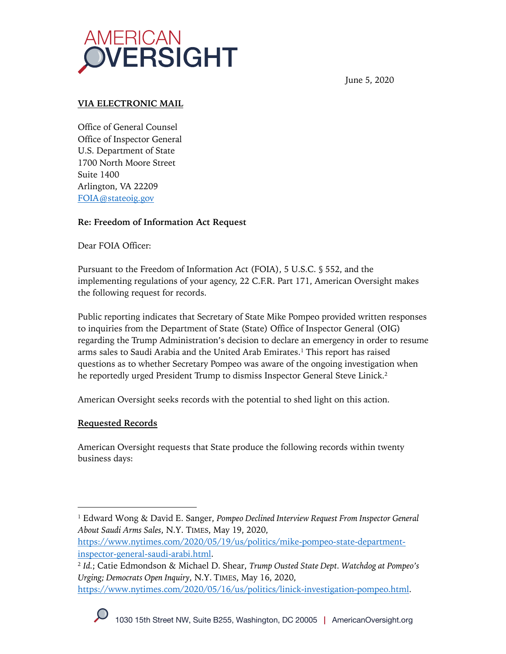

June 5, 2020

#### **VIA ELECTRONIC MAIL**

Office of General Counsel Office of Inspector General U.S. Department of State 1700 North Moore Street Suite 1400 Arlington, VA 22209 FOIA@stateoig.gov

### **Re: Freedom of Information Act Request**

Dear FOIA Officer:

Pursuant to the Freedom of Information Act (FOIA), 5 U.S.C. § 552, and the implementing regulations of your agency, 22 C.F.R. Part 171, American Oversight makes the following request for records.

Public reporting indicates that Secretary of State Mike Pompeo provided written responses to inquiries from the Department of State (State) Office of Inspector General (OIG) regarding the Trump Administration's decision to declare an emergency in order to resume arms sales to Saudi Arabia and the United Arab Emirates.1 This report has raised questions as to whether Secretary Pompeo was aware of the ongoing investigation when he reportedly urged President Trump to dismiss Inspector General Steve Linick.<sup>2</sup>

American Oversight seeks records with the potential to shed light on this action.

## **Requested Records**

American Oversight requests that State produce the following records within twenty business days:

<sup>1</sup> Edward Wong & David E. Sanger, *Pompeo Declined Interview Request From Inspector General About Saudi Arms Sales*, N.Y. TIMES, May 19, 2020,

https://www.nytimes.com/2020/05/19/us/politics/mike-pompeo-state-departmentinspector-general-saudi-arabi.html.

<sup>2</sup> *Id.*; Catie Edmondson & Michael D. Shear, *Trump Ousted State Dept. Watchdog at Pompeo's Urging; Democrats Open Inquiry*, N.Y. TIMES, May 16, 2020, https://www.nytimes.com/2020/05/16/us/politics/linick-investigation-pompeo.html.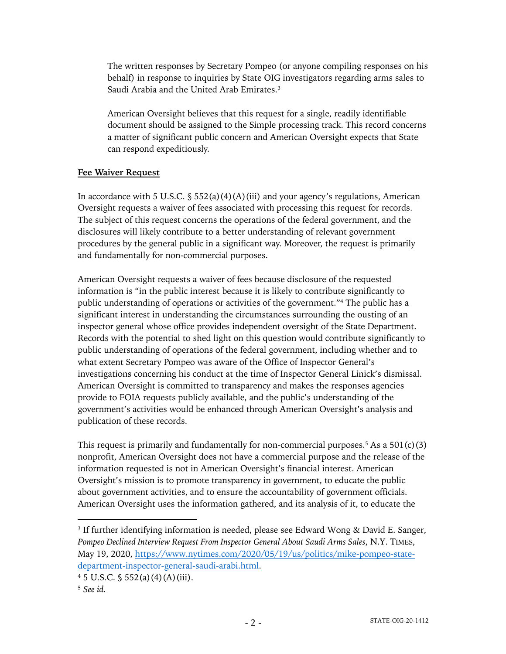The written responses by Secretary Pompeo (or anyone compiling responses on his behalf) in response to inquiries by State OIG investigators regarding arms sales to Saudi Arabia and the United Arab Emirates.<sup>3</sup>

American Oversight believes that this request for a single, readily identifiable document should be assigned to the Simple processing track. This record concerns a matter of significant public concern and American Oversight expects that State can respond expeditiously.

### **Fee Waiver Request**

In accordance with 5 U.S.C.  $\frac{1}{5}$  552(a)(4)(A)(iii) and your agency's regulations, American Oversight requests a waiver of fees associated with processing this request for records. The subject of this request concerns the operations of the federal government, and the disclosures will likely contribute to a better understanding of relevant government procedures by the general public in a significant way. Moreover, the request is primarily and fundamentally for non-commercial purposes.

American Oversight requests a waiver of fees because disclosure of the requested information is "in the public interest because it is likely to contribute significantly to public understanding of operations or activities of the government."4 The public has a significant interest in understanding the circumstances surrounding the ousting of an inspector general whose office provides independent oversight of the State Department. Records with the potential to shed light on this question would contribute significantly to public understanding of operations of the federal government, including whether and to what extent Secretary Pompeo was aware of the Office of Inspector General's investigations concerning his conduct at the time of Inspector General Linick's dismissal. American Oversight is committed to transparency and makes the responses agencies provide to FOIA requests publicly available, and the public's understanding of the government's activities would be enhanced through American Oversight's analysis and publication of these records.

This request is primarily and fundamentally for non-commercial purposes.<sup>5</sup> As a  $501(c)(3)$ nonprofit, American Oversight does not have a commercial purpose and the release of the information requested is not in American Oversight's financial interest. American Oversight's mission is to promote transparency in government, to educate the public about government activities, and to ensure the accountability of government officials. American Oversight uses the information gathered, and its analysis of it, to educate the

<sup>3</sup> If further identifying information is needed, please see Edward Wong & David E. Sanger, *Pompeo Declined Interview Request From Inspector General About Saudi Arms Sales*, N.Y. TIMES, May 19, 2020, https://www.nytimes.com/2020/05/19/us/politics/mike-pompeo-statedepartment-inspector-general-saudi-arabi.html.

 $4\,5\,$  U.S.C.  $\frac{6}{3}\,552(a)(4)(A)(iii)$ .

<sup>5</sup> *See id.*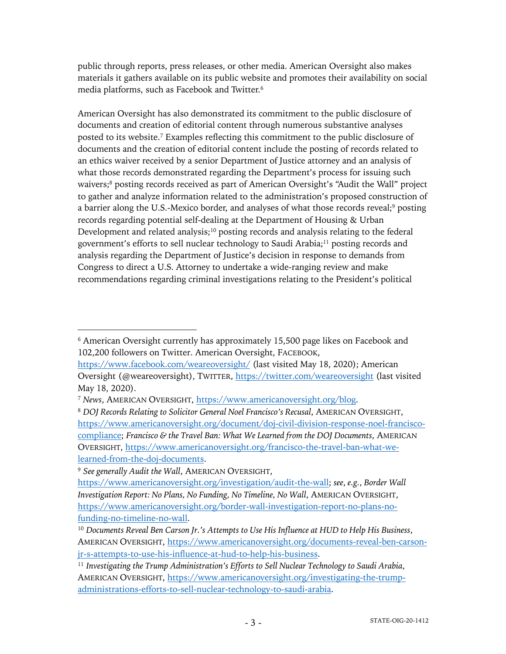public through reports, press releases, or other media. American Oversight also makes materials it gathers available on its public website and promotes their availability on social media platforms, such as Facebook and Twitter.6

American Oversight has also demonstrated its commitment to the public disclosure of documents and creation of editorial content through numerous substantive analyses posted to its website. <sup>7</sup> Examples reflecting this commitment to the public disclosure of documents and the creation of editorial content include the posting of records related to an ethics waiver received by a senior Department of Justice attorney and an analysis of what those records demonstrated regarding the Department's process for issuing such waivers;<sup>8</sup> posting records received as part of American Oversight's "Audit the Wall" project to gather and analyze information related to the administration's proposed construction of a barrier along the U.S.-Mexico border, and analyses of what those records reveal;<sup>9</sup> posting records regarding potential self-dealing at the Department of Housing & Urban Development and related analysis;<sup>10</sup> posting records and analysis relating to the federal government's efforts to sell nuclear technology to Saudi Arabia;11 posting records and analysis regarding the Department of Justice's decision in response to demands from Congress to direct a U.S. Attorney to undertake a wide-ranging review and make recommendations regarding criminal investigations relating to the President's political

<sup>6</sup> American Oversight currently has approximately 15,500 page likes on Facebook and 102,200 followers on Twitter. American Oversight, FACEBOOK,

https://www.facebook.com/weareoversight/ (last visited May 18, 2020); American Oversight (@weareoversight), TWITTER, https://twitter.com/weareoversight (last visited May 18, 2020).

<sup>7</sup> *News*, AMERICAN OVERSIGHT, https://www.americanoversight.org/blog.

<sup>8</sup> *DOJ Records Relating to Solicitor General Noel Francisco's Recusal*, AMERICAN OVERSIGHT, https://www.americanoversight.org/document/doj-civil-division-response-noel-franciscocompliance; *Francisco & the Travel Ban: What We Learned from the DOJ Documents*, AMERICAN OVERSIGHT, https://www.americanoversight.org/francisco-the-travel-ban-what-welearned-from-the-doj-documents.

<sup>9</sup> *See generally Audit the Wall*, AMERICAN OVERSIGHT,

https://www.americanoversight.org/investigation/audit-the-wall; *see*, *e.g.*, *Border Wall Investigation Report: No Plans, No Funding, No Timeline, No Wall*, AMERICAN OVERSIGHT, https://www.americanoversight.org/border-wall-investigation-report-no-plans-nofunding-no-timeline-no-wall.

<sup>10</sup> *Documents Reveal Ben Carson Jr.'s Attempts to Use His Influence at HUD to Help His Business*, AMERICAN OVERSIGHT, https://www.americanoversight.org/documents-reveal-ben-carsonjr-s-attempts-to-use-his-influence-at-hud-to-help-his-business.

<sup>11</sup> *Investigating the Trump Administration's Efforts to Sell Nuclear Technology to Saudi Arabia*, AMERICAN OVERSIGHT, https://www.americanoversight.org/investigating-the-trumpadministrations-efforts-to-sell-nuclear-technology-to-saudi-arabia.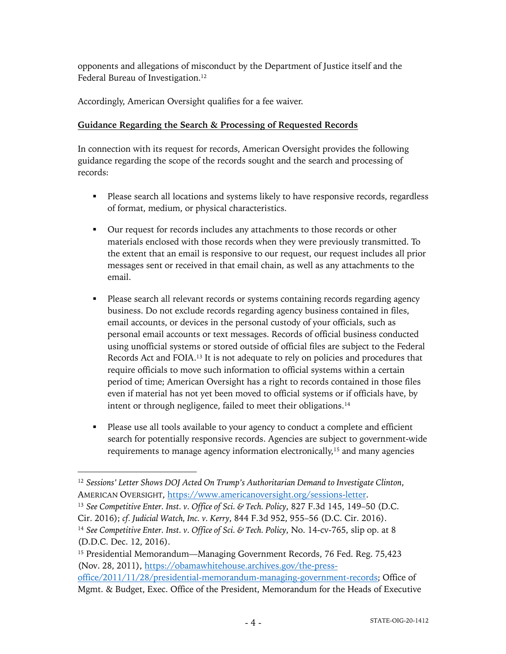opponents and allegations of misconduct by the Department of Justice itself and the Federal Bureau of Investigation.<sup>12</sup>

Accordingly, American Oversight qualifies for a fee waiver.

# **Guidance Regarding the Search & Processing of Requested Records**

In connection with its request for records, American Oversight provides the following guidance regarding the scope of the records sought and the search and processing of records:

- Please search all locations and systems likely to have responsive records, regardless of format, medium, or physical characteristics.
- § Our request for records includes any attachments to those records or other materials enclosed with those records when they were previously transmitted. To the extent that an email is responsive to our request, our request includes all prior messages sent or received in that email chain, as well as any attachments to the email.
- § Please search all relevant records or systems containing records regarding agency business. Do not exclude records regarding agency business contained in files, email accounts, or devices in the personal custody of your officials, such as personal email accounts or text messages. Records of official business conducted using unofficial systems or stored outside of official files are subject to the Federal Records Act and FOIA.13 It is not adequate to rely on policies and procedures that require officials to move such information to official systems within a certain period of time; American Oversight has a right to records contained in those files even if material has not yet been moved to official systems or if officials have, by intent or through negligence, failed to meet their obligations.<sup>14</sup>
- Please use all tools available to your agency to conduct a complete and efficient search for potentially responsive records. Agencies are subject to government-wide requirements to manage agency information electronically,<sup>15</sup> and many agencies

<sup>13</sup> *See Competitive Enter. Inst. v. Office of Sci. & Tech. Policy*, 827 F.3d 145, 149–50 (D.C. Cir. 2016); *cf. Judicial Watch, Inc. v. Kerry*, 844 F.3d 952, 955–56 (D.C. Cir. 2016).

<sup>12</sup> *Sessions' Letter Shows DOJ Acted On Trump's Authoritarian Demand to Investigate Clinton*, AMERICAN OVERSIGHT, https://www.americanoversight.org/sessions-letter.

<sup>14</sup> *See Competitive Enter. Inst. v. Office of Sci. & Tech. Policy*, No. 14-cv-765, slip op. at 8 (D.D.C. Dec. 12, 2016).

<sup>&</sup>lt;sup>15</sup> Presidential Memorandum—Managing Government Records, 76 Fed. Reg. 75,423 (Nov. 28, 2011), https://obamawhitehouse.archives.gov/the-pressoffice/2011/11/28/presidential-memorandum-managing-government-records; Office of Mgmt. & Budget, Exec. Office of the President, Memorandum for the Heads of Executive

<sup>- 4 -</sup> STATE-OIG-20-1412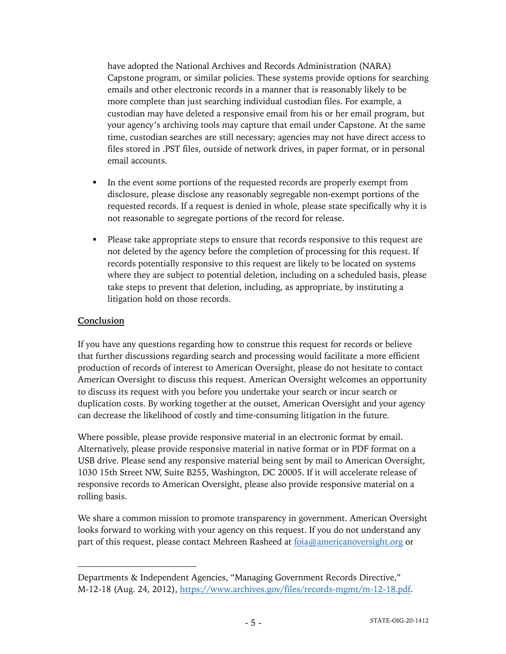have adopted the National Archives and Records Administration (NARA) Capstone program, or similar policies. These systems provide options for searching emails and other electronic records in a manner that is reasonably likely to be more complete than just searching individual custodian files. For example, a custodian may have deleted a responsive email from his or her email program, but your agency's archiving tools may capture that email under Capstone. At the same time, custodian searches are still necessary; agencies may not have direct access to files stored in .PST files, outside of network drives, in paper format, or in personal email accounts.

- In the event some portions of the requested records are properly exempt from disclosure, please disclose any reasonably segregable non-exempt portions of the requested records. If a request is denied in whole, please state specifically why it is not reasonable to segregate portions of the record for release.
- Please take appropriate steps to ensure that records responsive to this request are not deleted by the agency before the completion of processing for this request. If records potentially responsive to this request are likely to be located on systems where they are subject to potential deletion, including on a scheduled basis, please take steps to prevent that deletion, including, as appropriate, by instituting a litigation hold on those records.

## **Conclusion**

If you have any questions regarding how to construe this request for records or believe that further discussions regarding search and processing would facilitate a more efficient production of records of interest to American Oversight, please do not hesitate to contact American Oversight to discuss this request. American Oversight welcomes an opportunity to discuss its request with you before you undertake your search or incur search or duplication costs. By working together at the outset, American Oversight and your agency can decrease the likelihood of costly and time-consuming litigation in the future.

Where possible, please provide responsive material in an electronic format by email. Alternatively, please provide responsive material in native format or in PDF format on a USB drive. Please send any responsive material being sent by mail to American Oversight, 1030 15th Street NW, Suite B255, Washington, DC 20005. If it will accelerate release of responsive records to American Oversight, please also provide responsive material on a rolling basis.

We share a common mission to promote transparency in government. American Oversight looks forward to working with your agency on this request. If you do not understand any part of this request, please contact Mehreen Rasheed at foia@americanoversight.org or

Departments & Independent Agencies, "Managing Government Records Directive," M-12-18 (Aug. 24, 2012), https://www.archives.gov/files/records-mgmt/m-12-18.pdf.